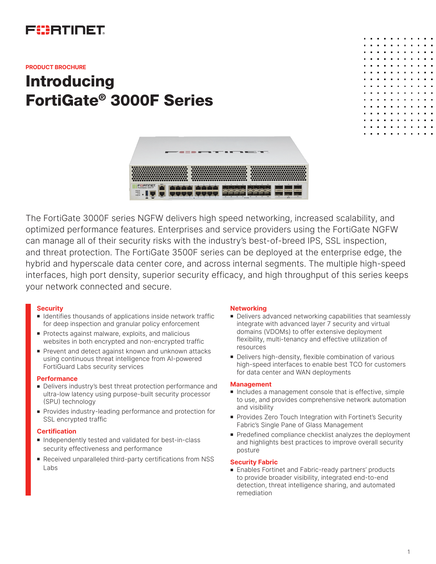

#### **PRODUCT BROCHURE**

# **Introducing** FortiGate® 3000F Series





The FortiGate 3000F series NGFW delivers high speed networking, increased scalability, and optimized performance features. Enterprises and service providers using the FortiGate NGFW can manage all of their security risks with the industry's best-of-breed IPS, SSL inspection, and threat protection. The FortiGate 3500F series can be deployed at the enterprise edge, the hybrid and hyperscale data center core, and across internal segments. The multiple high-speed interfaces, high port density, superior security efficacy, and high throughput of this series keeps your network connected and secure.

## **Security**

- Identifies thousands of applications inside network traffic for deep inspection and granular policy enforcement
- **Protects against malware, exploits, and malicious** websites in both encrypted and non-encrypted traffic
- Prevent and detect against known and unknown attacks using continuous threat intelligence from AI-powered FortiGuard Labs security services

#### **Performance**

- **Delivers industry's best threat protection performance and** ultra-low latency using purpose-built security processor (SPU) technology
- **Provides industry-leading performance and protection for** SSL encrypted traffic

## **Certification**

- Independently tested and validated for best-in-class security effectiveness and performance
- Received unparalleled third-party certifications from NSS Labs

## **Networking**

- Delivers advanced networking capabilities that seamlessly integrate with advanced layer 7 security and virtual domains (VDOMs) to offer extensive deployment flexibility, multi-tenancy and effective utilization of resources
- Delivers high-density, flexible combination of various high-speed interfaces to enable best TCO for customers for data center and WAN deployments

#### **Management**

- n Includes a management console that is effective, simple to use, and provides comprehensive network automation and visibility
- Provides Zero Touch Integration with Fortinet's Security Fabric's Single Pane of Glass Management
- **Predefined compliance checklist analyzes the deployment** and highlights best practices to improve overall security posture

## **Security Fabric**

■ Enables Fortinet and Fabric-ready partners' products to provide broader visibility, integrated end-to-end detection, threat intelligence sharing, and automated remediation